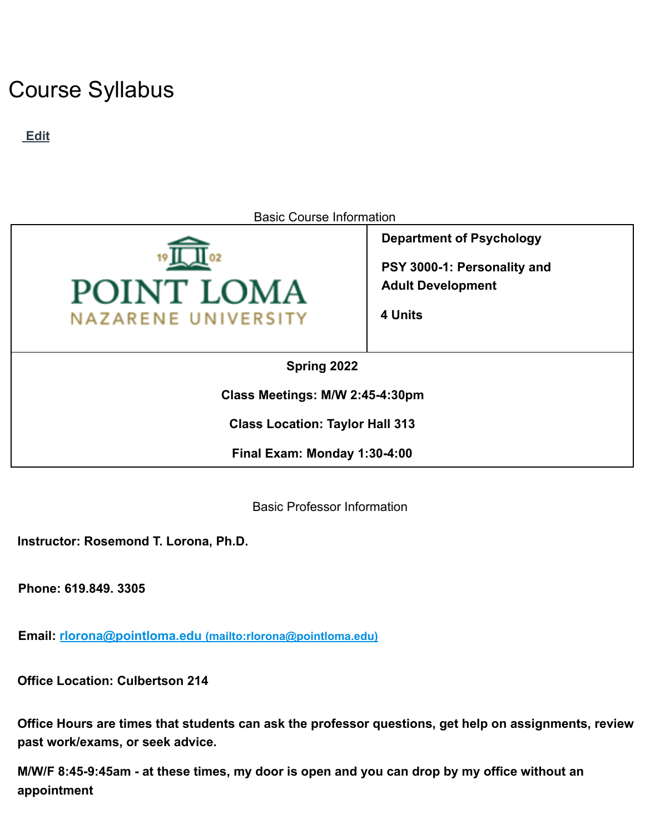# Course Syllabus

**Edit**



**Class Location: Taylor Hall 313**

**Final Exam: Monday 1:30-4:00**

Basic Professor Information

**Instructor: Rosemond T. Lorona, Ph.D.**

**Phone: 619.849. 3305**

**Email: rlorona@pointloma.edu (mailto:rlorona@pointloma.edu)**

**Office Location: Culbertson 214**

**Office Hours are times that students can ask the professor questions, get help on assignments, review past work/exams, or seek advice.**

M/W/F 8:45-9:45am - at these times, my door is open and you can drop by my office without an **appointment**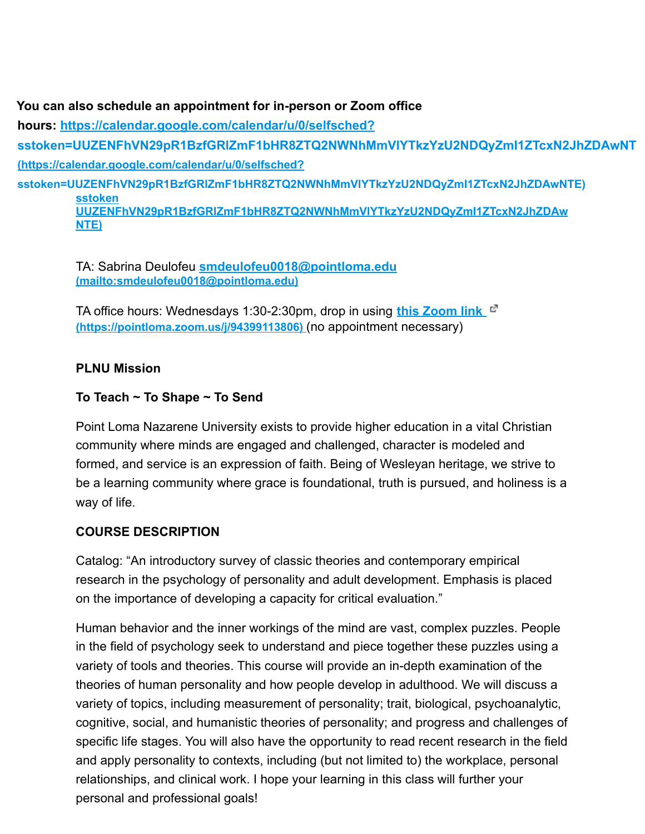**You can also schedule an appointment for in-person or Zoom office hours: https://calendar.google.com/calendar/u/0/selfsched? sstoken=UUZENFhVN29pR1BzfGRlZmF1bHR8ZTQ2NWNhMmVlYTkzYzU2NDQyZmI1ZTcxN2JhZDAwNT (https://calendar.google.com/calendar/u/0/selfsched? sstoken=UUZENFhVN29pR1BzfGRlZmF1bHR8ZTQ2NWNhMmVlYTkzYzU2NDQyZmI1ZTcxN2JhZDAwNTE) sstoken UUZENFhVN29pR1BzfGRlZmF1bHR8ZTQ2NWNhMmVlYTkzYzU2NDQyZmI1ZTcxN2JhZDAw NTE)**

TA: Sabrina Deulofeu **smdeulofeu0018@pointloma.edu (mailto:smdeulofeu0018@pointloma.edu)**

TA office hours: Wednesdays 1:30-2:30pm, drop in using **this Zoom link (https://pointloma.zoom.us/j/94399113806)** (no appointment necessary)

## **PLNU Mission**

## **To Teach ~ To Shape ~ To Send**

Point Loma Nazarene University exists to provide higher education in a vital Christian community where minds are engaged and challenged, character is modeled and formed, and service is an expression of faith. Being of Wesleyan heritage, we strive to be a learning community where grace is foundational, truth is pursued, and holiness is a way of life.

# **COURSE DESCRIPTION**

Catalog: "An introductory survey of classic theories and contemporary empirical research in the psychology of personality and adult development. Emphasis is placed on the importance of developing a capacity for critical evaluation."

Human behavior and the inner workings of the mind are vast, complex puzzles. People in the field of psychology seek to understand and piece together these puzzles using a variety of tools and theories. This course will provide an in-depth examination of the theories of human personality and how people develop in adulthood. We will discuss a variety of topics, including measurement of personality; trait, biological, psychoanalytic, cognitive, social, and humanistic theories of personality; and progress and challenges of specific life stages. You will also have the opportunity to read recent research in the field and apply personality to contexts, including (but not limited to) the workplace, personal relationships, and clinical work. I hope your learning in this class will further your personal and professional goals!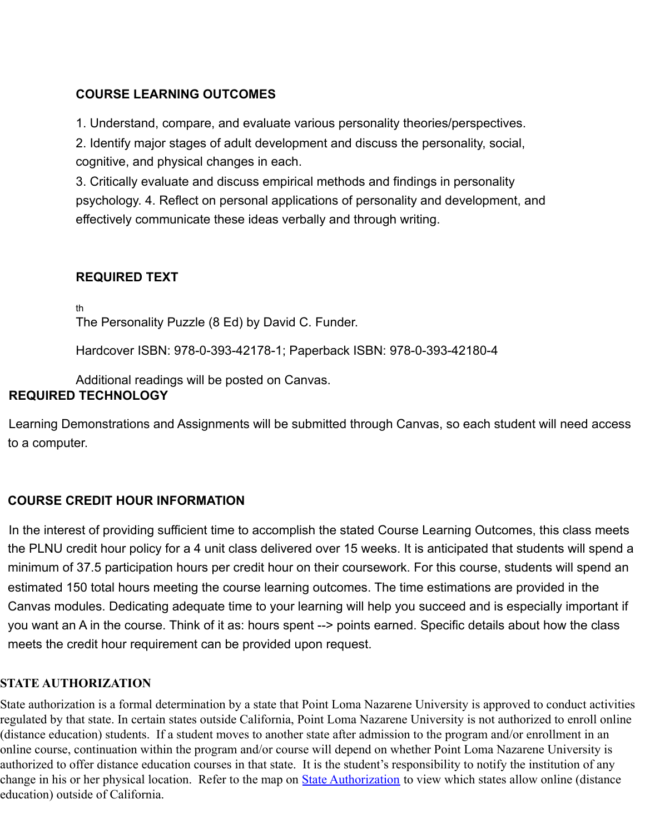# **COURSE LEARNING OUTCOMES**

1. Understand, compare, and evaluate various personality theories/perspectives.

2. Identify major stages of adult development and discuss the personality, social, cognitive, and physical changes in each.

3. Critically evaluate and discuss empirical methods and findings in personality psychology. 4. Reflect on personal applications of personality and development, and effectively communicate these ideas verbally and through writing.

# **REQUIRED TEXT**

th

The Personality Puzzle (8 Ed) by David C. Funder.

Hardcover ISBN: 978-0-393-42178-1; Paperback ISBN: 978-0-393-42180-4

Additional readings will be posted on Canvas.

# **REQUIRED TECHNOLOGY**

Learning Demonstrations and Assignments will be submitted through Canvas, so each student will need access to a computer.

# **COURSE CREDIT HOUR INFORMATION**

In the interest of providing sufficient time to accomplish the stated Course Learning Outcomes, this class meets the PLNU credit hour policy for a 4 unit class delivered over 15 weeks. It is anticipated that students will spend a minimum of 37.5 participation hours per credit hour on their coursework. For this course, students will spend an estimated 150 total hours meeting the course learning outcomes. The time estimations are provided in the Canvas modules. Dedicating adequate time to your learning will help you succeed and is especially important if you want an A in the course. Think of it as: hours spent --> points earned. Specific details about how the class meets the credit hour requirement can be provided upon request.

## **STATE AUTHORIZATION**

State authorization is a formal determination by a state that Point Loma Nazarene University is approved to conduct activities regulated by that state. In certain states outside California, Point Loma Nazarene University is not authorized to enroll online (distance education) students. If a student moves to another state after admission to the program and/or enrollment in an online course, continuation within the program and/or course will depend on whether Point Loma Nazarene University is authorized to offer distance education courses in that state. It is the student's responsibility to notify the institution of any change in his or her physical location. Refer to the map on [State Authorization](https://www.pointloma.edu/offices/office-institutional-effectiveness-research/disclosures) to view which states allow online (distance education) outside of California.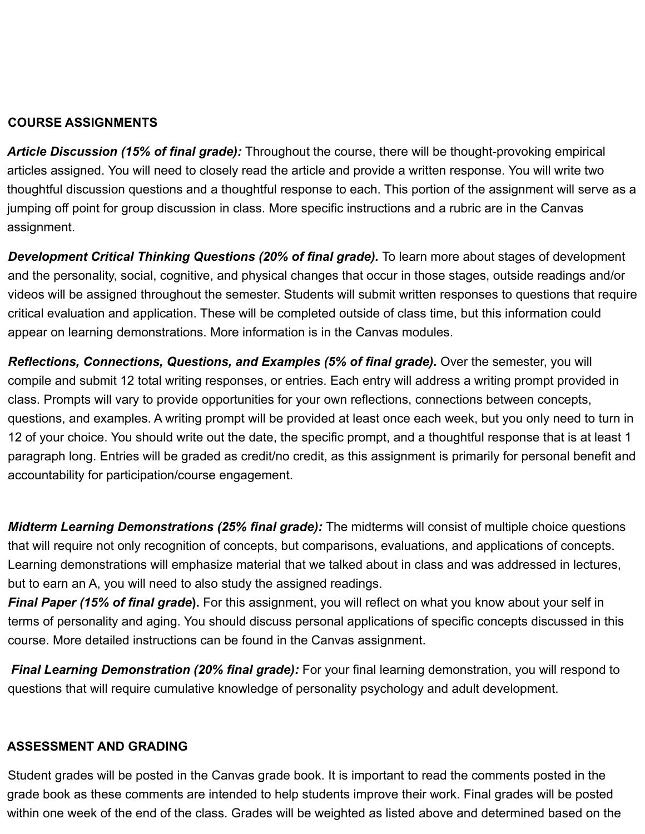## **COURSE ASSIGNMENTS**

*Article Discussion (15% of final grade):* Throughout the course, there will be thought-provoking empirical articles assigned. You will need to closely read the article and provide a written response. You will write two thoughtful discussion questions and a thoughtful response to each. This portion of the assignment will serve as a jumping off point for group discussion in class. More specific instructions and a rubric are in the Canvas assignment.

*Development Critical Thinking Questions (20% of final grade).* To learn more about stages of development and the personality, social, cognitive, and physical changes that occur in those stages, outside readings and/or videos will be assigned throughout the semester. Students will submit written responses to questions that require critical evaluation and application. These will be completed outside of class time, but this information could appear on learning demonstrations. More information is in the Canvas modules.

*Reflections, Connections, Questions, and Examples (5% of final grade).* Over the semester, you will compile and submit 12 total writing responses, or entries. Each entry will address a writing prompt provided in class. Prompts will vary to provide opportunities for your own reflections, connections between concepts, questions, and examples. A writing prompt will be provided at least once each week, but you only need to turn in 12 of your choice. You should write out the date, the specific prompt, and a thoughtful response that is at least 1 paragraph long. Entries will be graded as credit/no credit, as this assignment is primarily for personal benefit and accountability for participation/course engagement.

*Midterm Learning Demonstrations (25% final grade):* The midterms will consist of multiple choice questions that will require not only recognition of concepts, but comparisons, evaluations, and applications of concepts. Learning demonstrations will emphasize material that we talked about in class and was addressed in lectures, but to earn an A, you will need to also study the assigned readings.

*Final Paper (15% of final grade***).** For this assignment, you will reflect on what you know about your self in terms of personality and aging. You should discuss personal applications of specific concepts discussed in this course. More detailed instructions can be found in the Canvas assignment.

*Final Learning Demonstration (20% final grade):* For your final learning demonstration, you will respond to questions that will require cumulative knowledge of personality psychology and adult development.

## **ASSESSMENT AND GRADING**

Student grades will be posted in the Canvas grade book. It is important to read the comments posted in the grade book as these comments are intended to help students improve their work. Final grades will be posted within one week of the end of the class. Grades will be weighted as listed above and determined based on the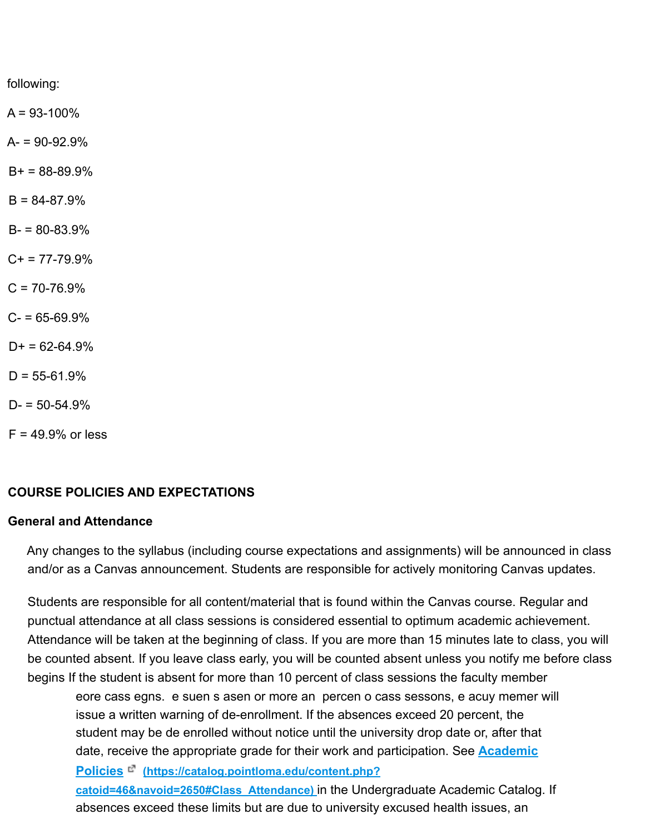following:

 $A = 93 - 100\%$ 

 $A = 90 - 92.9%$ 

 $B+ = 88-89.9%$ 

 $B = 84 - 87.9%$ 

 $B = 80 - 83.9%$ 

 $C_{+}$  = 77-79.9%

 $C = 70 - 76.9%$ 

 $C - 65 - 69.9%$ 

 $D+ = 62-64.9%$ 

 $D = 55 - 61.9\%$ 

 $D = 50 - 54.9%$ 

 $F = 49.9%$  or less

#### **COURSE POLICIES AND EXPECTATIONS**

#### **General and Attendance**

Any changes to the syllabus (including course expectations and assignments) will be announced in class and/or as a Canvas announcement. Students are responsible for actively monitoring Canvas updates.

Students are responsible for all content/material that is found within the Canvas course. Regular and punctual attendance at all class sessions is considered essential to optimum academic achievement. Attendance will be taken at the beginning of class. If you are more than 15 minutes late to class, you will be counted absent. If you leave class early, you will be counted absent unless you notify me before class begins If the student is absent for more than 10 percent of class sessions the faculty member

eore cass egns. e suen s asen or more an percen o cass sessons, e acuy memer will issue a written warning of de-enrollment. If the absences exceed 20 percent, the student may be de enrolled without notice until the university drop date or, after that date, receive the appropriate grade for their work and participation. See **Academic**

**Policies (https://catalog.pointloma.edu/content.php?**

**catoid=46&navoid=2650#Class\_Attendance)** in the Undergraduate Academic Catalog. If absences exceed these limits but are due to university excused health issues, an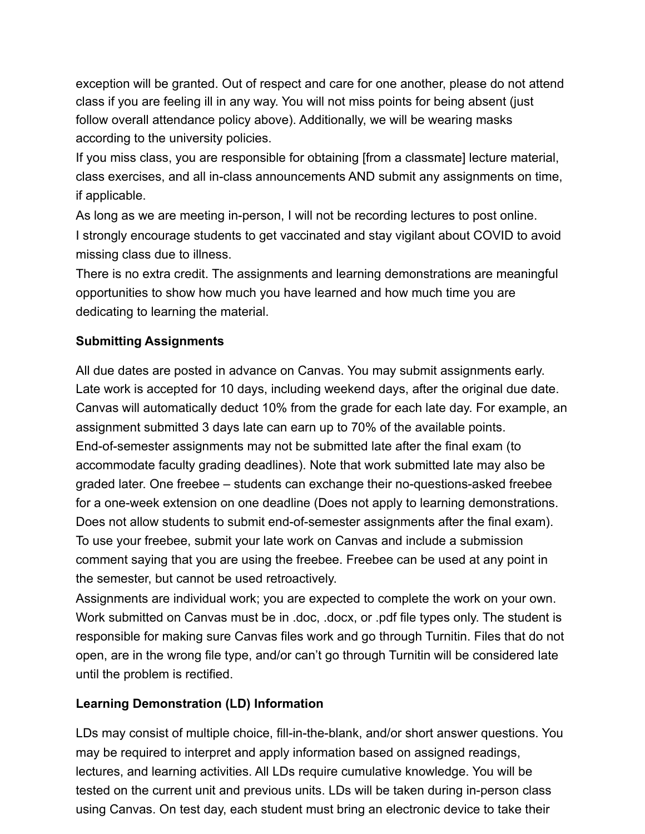exception will be granted. Out of respect and care for one another, please do not attend class if you are feeling ill in any way. You will not miss points for being absent (just follow overall attendance policy above). Additionally, we will be wearing masks according to the university policies.

If you miss class, you are responsible for obtaining [from a classmate] lecture material, class exercises, and all in-class announcements AND submit any assignments on time, if applicable.

As long as we are meeting in-person, I will not be recording lectures to post online. I strongly encourage students to get vaccinated and stay vigilant about COVID to avoid missing class due to illness.

There is no extra credit. The assignments and learning demonstrations are meaningful opportunities to show how much you have learned and how much time you are dedicating to learning the material.

# **Submitting Assignments**

All due dates are posted in advance on Canvas. You may submit assignments early. Late work is accepted for 10 days, including weekend days, after the original due date. Canvas will automatically deduct 10% from the grade for each late day. For example, an assignment submitted 3 days late can earn up to 70% of the available points. End-of-semester assignments may not be submitted late after the final exam (to accommodate faculty grading deadlines). Note that work submitted late may also be graded later. One freebee – students can exchange their no-questions-asked freebee for a one-week extension on one deadline (Does not apply to learning demonstrations. Does not allow students to submit end-of-semester assignments after the final exam). To use your freebee, submit your late work on Canvas and include a submission comment saying that you are using the freebee. Freebee can be used at any point in the semester, but cannot be used retroactively.

Assignments are individual work; you are expected to complete the work on your own. Work submitted on Canvas must be in .doc, .docx, or .pdf file types only. The student is responsible for making sure Canvas files work and go through Turnitin. Files that do not open, are in the wrong file type, and/or can't go through Turnitin will be considered late until the problem is rectified.

# **Learning Demonstration (LD) Information**

LDs may consist of multiple choice, fill-in-the-blank, and/or short answer questions. You may be required to interpret and apply information based on assigned readings, lectures, and learning activities. All LDs require cumulative knowledge. You will be tested on the current unit and previous units. LDs will be taken during in-person class using Canvas. On test day, each student must bring an electronic device to take their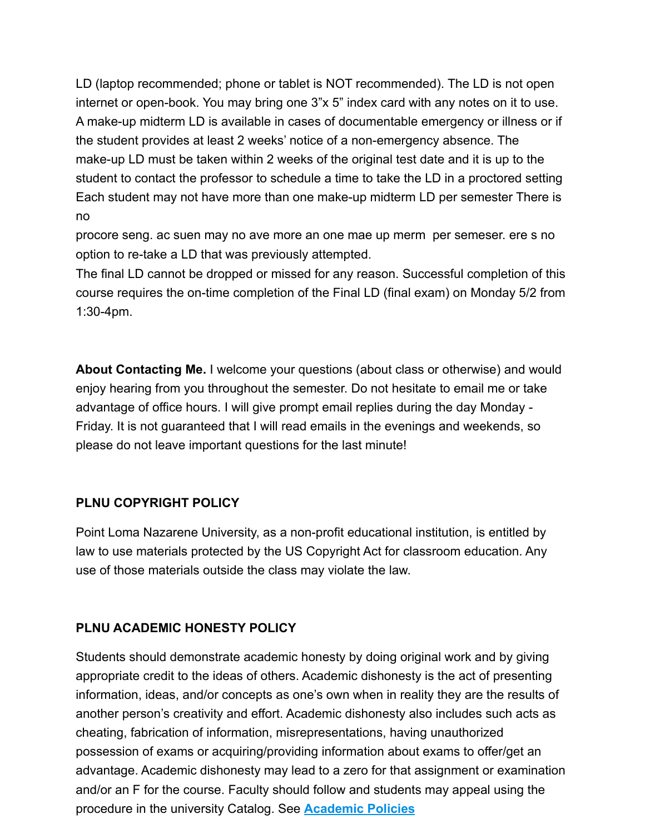LD (laptop recommended; phone or tablet is NOT recommended). The LD is not open internet or open-book. You may bring one 3"x 5" index card with any notes on it to use. A make-up midterm LD is available in cases of documentable emergency or illness or if the student provides at least 2 weeks' notice of a non-emergency absence. The make-up LD must be taken within 2 weeks of the original test date and it is up to the student to contact the professor to schedule a time to take the LD in a proctored setting Each student may not have more than one make-up midterm LD per semester There is no

procore seng. ac suen may no ave more an one mae up merm per semeser. ere s no option to re-take a LD that was previously attempted.

The final LD cannot be dropped or missed for any reason. Successful completion of this course requires the on-time completion of the Final LD (final exam) on Monday 5/2 from 1:30-4pm.

**About Contacting Me.** I welcome your questions (about class or otherwise) and would enjoy hearing from you throughout the semester. Do not hesitate to email me or take advantage of office hours. I will give prompt email replies during the day Monday - Friday. It is not guaranteed that I will read emails in the evenings and weekends, so please do not leave important questions for the last minute!

## **PLNU COPYRIGHT POLICY**

Point Loma Nazarene University, as a non-profit educational institution, is entitled by law to use materials protected by the US Copyright Act for classroom education. Any use of those materials outside the class may violate the law.

## **PLNU ACADEMIC HONESTY POLICY**

Students should demonstrate academic honesty by doing original work and by giving appropriate credit to the ideas of others. Academic dishonesty is the act of presenting information, ideas, and/or concepts as one's own when in reality they are the results of another person's creativity and effort. Academic dishonesty also includes such acts as cheating, fabrication of information, misrepresentations, having unauthorized possession of exams or acquiring/providing information about exams to offer/get an advantage. Academic dishonesty may lead to a zero for that assignment or examination and/or an F for the course. Faculty should follow and students may appeal using the procedure in the university Catalog. See **Academic Policies**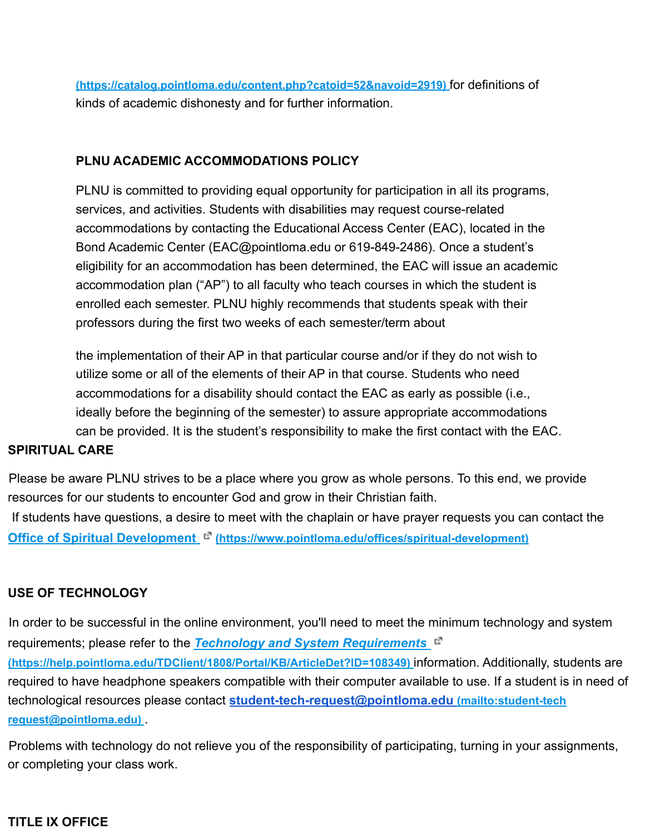**(https://catalog.pointloma.edu/content.php?catoid=52&navoid=2919)** for definitions of kinds of academic dishonesty and for further information.

## **PLNU ACADEMIC ACCOMMODATIONS POLICY**

PLNU is committed to providing equal opportunity for participation in all its programs, services, and activities. Students with disabilities may request course-related accommodations by contacting the Educational Access Center (EAC), located in the Bond Academic Center (EAC@pointloma.edu or 619-849-2486). Once a student's eligibility for an accommodation has been determined, the EAC will issue an academic accommodation plan ("AP") to all faculty who teach courses in which the student is enrolled each semester. PLNU highly recommends that students speak with their professors during the first two weeks of each semester/term about

the implementation of their AP in that particular course and/or if they do not wish to utilize some or all of the elements of their AP in that course. Students who need accommodations for a disability should contact the EAC as early as possible (i.e., ideally before the beginning of the semester) to assure appropriate accommodations can be provided. It is the student's responsibility to make the first contact with the EAC.

#### **SPIRITUAL CARE**

Please be aware PLNU strives to be a place where you grow as whole persons. To this end, we provide resources for our students to encounter God and grow in their Christian faith.

If students have questions, a desire to meet with the chaplain or have prayer requests you can contact the **Office of Spiritual Development (https://www.pointloma.edu/offices/spiritual-development)**

## **USE OF TECHNOLOGY**

In order to be successful in the online environment, you'll need to meet the minimum technology and system requirements; please refer to the *Technology and System Requirements* **(https://help.pointloma.edu/TDClient/1808/Portal/KB/ArticleDet?ID=108349)** information. Additionally, students are required to have headphone speakers compatible with their computer available to use. If a student is in need of technological resources please contact **student-tech-request@pointloma.edu (mailto:student-tech request@pointloma.edu)** .

Problems with technology do not relieve you of the responsibility of participating, turning in your assignments, or completing your class work.

#### **TITLE IX OFFICE**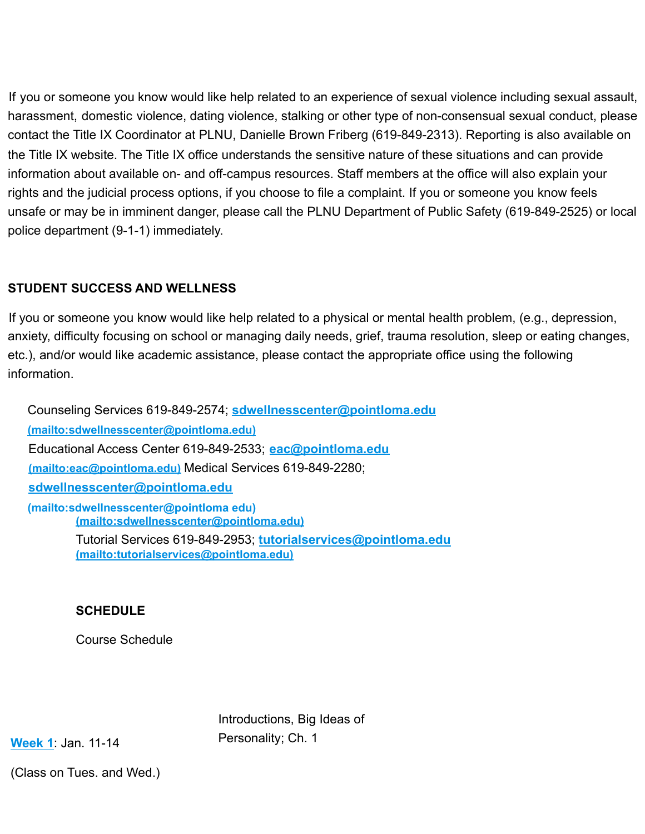If you or someone you know would like help related to an experience of sexual violence including sexual assault, harassment, domestic violence, dating violence, stalking or other type of non-consensual sexual conduct, please contact the Title IX Coordinator at PLNU, Danielle Brown Friberg (619-849-2313). Reporting is also available on the Title IX website. The Title IX office understands the sensitive nature of these situations and can provide information about available on- and off-campus resources. Staff members at the office will also explain your rights and the judicial process options, if you choose to file a complaint. If you or someone you know feels unsafe or may be in imminent danger, please call the PLNU Department of Public Safety (619-849-2525) or local police department (9-1-1) immediately.

## **STUDENT SUCCESS AND WELLNESS**

If you or someone you know would like help related to a physical or mental health problem, (e.g., depression, anxiety, difficulty focusing on school or managing daily needs, grief, trauma resolution, sleep or eating changes, etc.), and/or would like academic assistance, please contact the appropriate office using the following information.

Counseling Services 619-849-2574; **sdwellnesscenter@pointloma.edu (mailto:sdwellnesscenter@pointloma.edu)** Educational Access Center 619-849-2533; **eac@pointloma.edu (mailto:eac@pointloma.edu)** Medical Services 619-849-2280; **sdwellnesscenter@pointloma.edu (mailto:sdwellnesscenter@pointloma edu) (mailto:sdwellnesscenter@pointloma.edu)** Tutorial Services 619-849-2953; **tutorialservices@pointloma.edu**

**(mailto:tutorialservices@pointloma.edu)**

# **SCHEDULE**

Course Schedule

Introductions, Big Ideas of Personality; Ch. 1

**Week 1**: Jan. 11-14

(Class on Tues. and Wed.)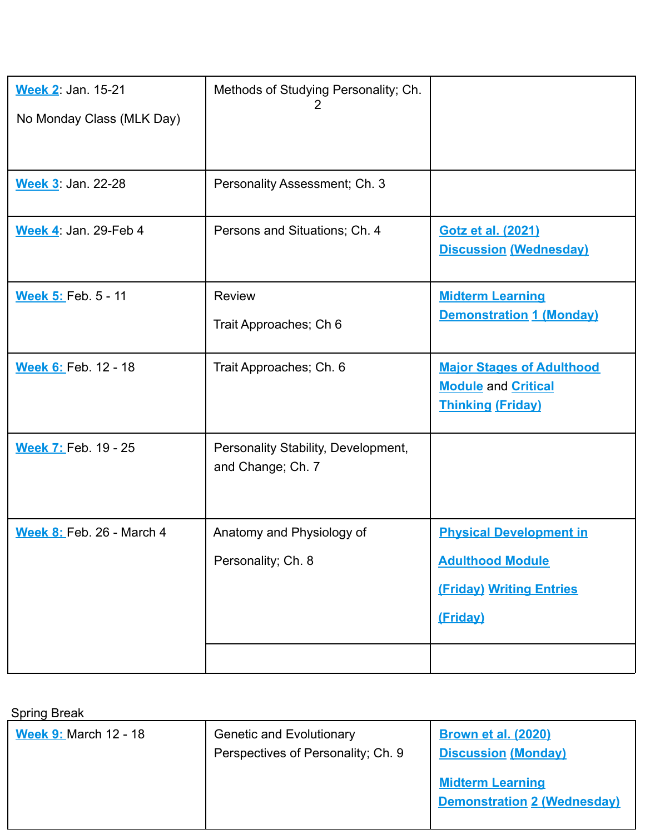| <b>Week 2: Jan. 15-21</b><br>No Monday Class (MLK Day) | Methods of Studying Personality; Ch.<br>2                |                                                                                                   |
|--------------------------------------------------------|----------------------------------------------------------|---------------------------------------------------------------------------------------------------|
|                                                        |                                                          |                                                                                                   |
| <b>Week 3</b> Jan. 22-28                               | Personality Assessment; Ch. 3                            |                                                                                                   |
| Week 4 Jan. 29-Feb 4                                   | Persons and Situations; Ch. 4                            | <b>Gotz et al. (2021)</b><br><b>Discussion (Wednesday)</b>                                        |
| <b>Week 5: Feb. 5 - 11</b>                             | <b>Review</b><br>Trait Approaches; Ch 6                  | <b>Midterm Learning</b><br><b>Demonstration 1 (Monday)</b>                                        |
| Week 6: Feb. 12 - 18                                   | Trait Approaches; Ch. 6                                  | <b>Major Stages of Adulthood</b><br><b>Module and Critical</b><br><b>Thinking (Friday)</b>        |
| <b>Week 7: Feb. 19 - 25</b>                            | Personality Stability, Development,<br>and Change; Ch. 7 |                                                                                                   |
| <b>Week 8: Feb. 26 - March 4</b>                       | Anatomy and Physiology of<br>Personality; Ch. 8          | <b>Physical Development in</b><br><b>Adulthood Module</b><br>(Friday) Writing Entries<br>(Friday) |
|                                                        |                                                          |                                                                                                   |

Spring Break

| <b>Opiniy Divan</b>          |                                    |                                                               |
|------------------------------|------------------------------------|---------------------------------------------------------------|
| <b>Week 9: March 12 - 18</b> | <b>Genetic and Evolutionary</b>    | <b>Brown et al. (2020)</b>                                    |
|                              | Perspectives of Personality; Ch. 9 | <b>Discussion (Monday)</b>                                    |
|                              |                                    | <b>Midterm Learning</b><br><b>Demonstration 2 (Wednesday)</b> |
|                              |                                    |                                                               |